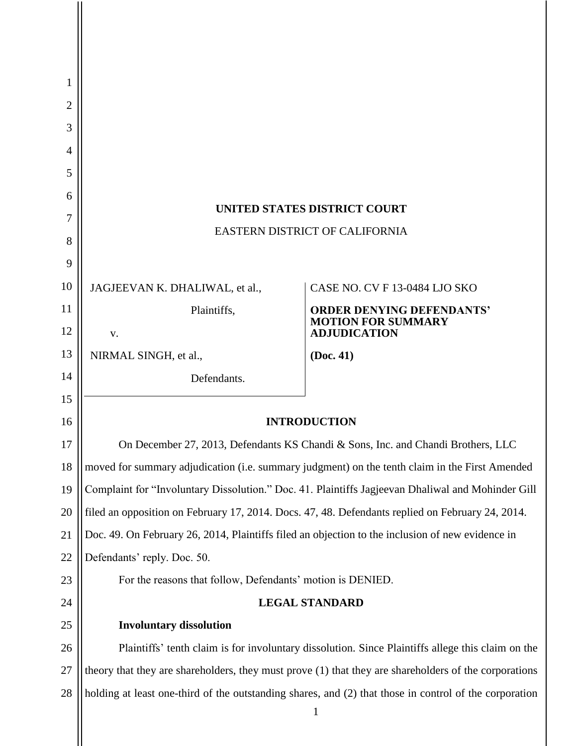| 1  |                                                                                                        |                                                  |
|----|--------------------------------------------------------------------------------------------------------|--------------------------------------------------|
| 2  |                                                                                                        |                                                  |
| 3  |                                                                                                        |                                                  |
| 4  |                                                                                                        |                                                  |
| 5  |                                                                                                        |                                                  |
| 6  |                                                                                                        |                                                  |
| 7  | <b>UNITED STATES DISTRICT COURT</b>                                                                    |                                                  |
| 8  | <b>EASTERN DISTRICT OF CALIFORNIA</b>                                                                  |                                                  |
| 9  |                                                                                                        |                                                  |
| 10 | JAGJEEVAN K. DHALIWAL, et al.,                                                                         | CASE NO. CV F 13-0484 LJO SKO                    |
| 11 | Plaintiffs,                                                                                            | <b>ORDER DENYING DEFENDANTS'</b>                 |
| 12 | V.                                                                                                     | <b>MOTION FOR SUMMARY</b><br><b>ADJUDICATION</b> |
| 13 | NIRMAL SINGH, et al.,                                                                                  | (Doc. 41)                                        |
| 14 | Defendants.                                                                                            |                                                  |
| 15 |                                                                                                        |                                                  |
| 16 | <b>INTRODUCTION</b>                                                                                    |                                                  |
| 17 | On December 27, 2013, Defendants KS Chandi & Sons, Inc. and Chandi Brothers, LLC                       |                                                  |
| 18 | moved for summary adjudication (i.e. summary judgment) on the tenth claim in the First Amended         |                                                  |
| 19 | Complaint for "Involuntary Dissolution." Doc. 41. Plaintiffs Jagjeevan Dhaliwal and Mohinder Gill      |                                                  |
| 20 | filed an opposition on February 17, 2014. Docs. 47, 48. Defendants replied on February 24, 2014.       |                                                  |
| 21 | Doc. 49. On February 26, 2014, Plaintiffs filed an objection to the inclusion of new evidence in       |                                                  |
| 22 | Defendants' reply. Doc. 50.                                                                            |                                                  |
| 23 | For the reasons that follow, Defendants' motion is DENIED.                                             |                                                  |
| 24 | <b>LEGAL STANDARD</b>                                                                                  |                                                  |
| 25 | <b>Involuntary dissolution</b>                                                                         |                                                  |
| 26 | Plaintiffs' tenth claim is for involuntary dissolution. Since Plaintiffs allege this claim on the      |                                                  |
| 27 | theory that they are shareholders, they must prove (1) that they are shareholders of the corporations  |                                                  |
| 28 | holding at least one-third of the outstanding shares, and (2) that those in control of the corporation |                                                  |
|    |                                                                                                        |                                                  |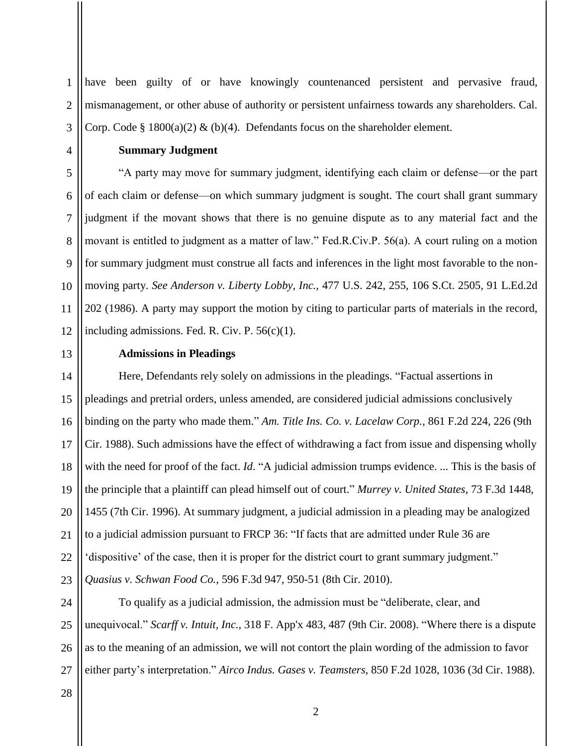have been guilty of or have knowingly countenanced persistent and pervasive fraud, mismanagement, or other abuse of authority or persistent unfairness towards any shareholders. Cal. Corp. Code § 1800(a)(2) & (b)(4). Defendants focus on the shareholder element.

### **Summary Judgment**

"A party may move for summary judgment, identifying each claim or defense—or the part of each claim or defense—on which summary judgment is sought. The court shall grant summary judgment if the movant shows that there is no genuine dispute as to any material fact and the movant is entitled to judgment as a matter of law." Fed.R.Civ.P. 56(a). A court ruling on a motion for summary judgment must construe all facts and inferences in the light most favorable to the nonmoving party. *See Anderson v. Liberty Lobby, Inc.,* 477 U.S. 242, 255, 106 S.Ct. 2505, 91 L.Ed.2d 202 (1986). A party may support the motion by citing to particular parts of materials in the record, including admissions. Fed. R. Civ. P.  $56(c)(1)$ .

13

1

2

3

4

5

6

7

8

9

10

11

12

#### **Admissions in Pleadings**

14 15 16 17 18 19 20 21 22 23 Here, Defendants rely solely on admissions in the pleadings. "Factual assertions in pleadings and pretrial orders, unless amended, are considered judicial admissions conclusively binding on the party who made them." *Am. Title Ins. Co. v. Lacelaw Corp.,* 861 F.2d 224, 226 (9th Cir. 1988). Such admissions have the effect of withdrawing a fact from issue and dispensing wholly with the need for proof of the fact. *Id*. "A judicial admission trumps evidence. ... This is the basis of the principle that a plaintiff can plead himself out of court." *Murrey v. United States*, 73 F.3d 1448, 1455 (7th Cir. 1996). At summary judgment, a judicial admission in a pleading may be analogized to a judicial admission pursuant to FRCP 36: "If facts that are admitted under Rule 36 are 'dispositive' of the case, then it is proper for the district court to grant summary judgment." *Quasius v. Schwan Food Co.,* 596 F.3d 947, 950-51 (8th Cir. 2010).

24 25 26 27 To qualify as a judicial admission, the admission must be "deliberate, clear, and unequivocal." *Scarff v. Intuit, Inc.,* 318 F. App'x 483, 487 (9th Cir. 2008). "Where there is a dispute as to the meaning of an admission, we will not contort the plain wording of the admission to favor either party"s interpretation." *Airco Indus. Gases v. Teamsters*, 850 F.2d 1028, 1036 (3d Cir. 1988).

28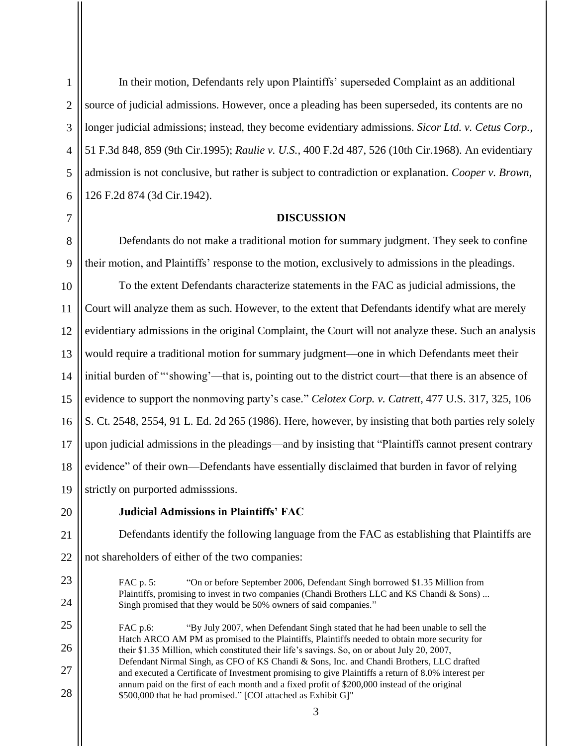In their motion, Defendants rely upon Plaintiffs" superseded Complaint as an additional source of judicial admissions. However, once a pleading has been superseded, its contents are no longer judicial admissions; instead, they become evidentiary admissions. *Sicor Ltd. v. Cetus Corp.,* 51 F.3d 848, 859 (9th Cir.1995); *Raulie v. U.S.,* 400 F.2d 487, 526 (10th Cir.1968). An evidentiary admission is not conclusive, but rather is subject to contradiction or explanation. *Cooper v. Brown,* 126 F.2d 874 (3d Cir.1942).

#### **DISCUSSION**

Defendants do not make a traditional motion for summary judgment. They seek to confine their motion, and Plaintiffs" response to the motion, exclusively to admissions in the pleadings.

10 11 12 13 14 15 16 17 18 19 To the extent Defendants characterize statements in the FAC as judicial admissions, the Court will analyze them as such. However, to the extent that Defendants identify what are merely evidentiary admissions in the original Complaint, the Court will not analyze these. Such an analysis would require a traditional motion for summary judgment—one in which Defendants meet their initial burden of "'showing'—that is, pointing out to the district court—that there is an absence of evidence to support the nonmoving party"s case." *Celotex Corp. v. Catrett*, 477 U.S. 317, 325, 106 S. Ct. 2548, 2554, 91 L. Ed. 2d 265 (1986). Here, however, by insisting that both parties rely solely upon judicial admissions in the pleadings—and by insisting that "Plaintiffs cannot present contrary evidence" of their own—Defendants have essentially disclaimed that burden in favor of relying strictly on purported admisssions.

20

#### **Judicial Admissions in Plaintiffs' FAC**

Defendants identify the following language from the FAC as establishing that Plaintiffs are not shareholders of either of the two companies:

FAC p. 5: "On or before September 2006, Defendant Singh borrowed \$1.35 Million from Plaintiffs, promising to invest in two companies (Chandi Brothers LLC and KS Chandi & Sons) ... Singh promised that they would be 50% owners of said companies."

27 28 FAC p.6: "By July 2007, when Defendant Singh stated that he had been unable to sell the Hatch ARCO AM PM as promised to the Plaintiffs, Plaintiffs needed to obtain more security for their \$1.35 Million, which constituted their life"s savings. So, on or about July 20, 2007, Defendant Nirmal Singh, as CFO of KS Chandi & Sons, Inc. and Chandi Brothers, LLC drafted and executed a Certificate of Investment promising to give Plaintiffs a return of 8.0% interest per annum paid on the first of each month and a fixed profit of \$200,000 instead of the original \$500,000 that he had promised." [COI attached as Exhibit G]"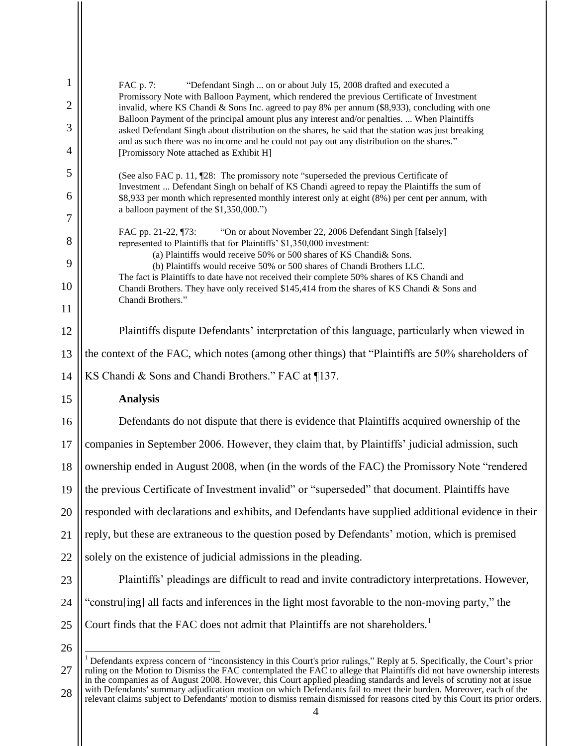| $\mathbf{1}$ | "Defendant Singh  on or about July 15, 2008 drafted and executed a<br>FAC p. 7:<br>Promissory Note with Balloon Payment, which rendered the previous Certificate of Investment<br>invalid, where KS Chandi & Sons Inc. agreed to pay 8% per annum (\$8,933), concluding with one<br>Balloon Payment of the principal amount plus any interest and/or penalties.  When Plaintiffs<br>asked Defendant Singh about distribution on the shares, he said that the station was just breaking<br>and as such there was no income and he could not pay out any distribution on the shares."<br>[Promissory Note attached as Exhibit H] |  |
|--------------|--------------------------------------------------------------------------------------------------------------------------------------------------------------------------------------------------------------------------------------------------------------------------------------------------------------------------------------------------------------------------------------------------------------------------------------------------------------------------------------------------------------------------------------------------------------------------------------------------------------------------------|--|
| 2            |                                                                                                                                                                                                                                                                                                                                                                                                                                                                                                                                                                                                                                |  |
| 3            |                                                                                                                                                                                                                                                                                                                                                                                                                                                                                                                                                                                                                                |  |
| 4            |                                                                                                                                                                                                                                                                                                                                                                                                                                                                                                                                                                                                                                |  |
| 5            | (See also FAC p. 11, 128: The promissory note "superseded the previous Certificate of<br>Investment  Defendant Singh on behalf of KS Chandi agreed to repay the Plaintiffs the sum of<br>\$8,933 per month which represented monthly interest only at eight (8%) per cent per annum, with                                                                                                                                                                                                                                                                                                                                      |  |
| 6            |                                                                                                                                                                                                                                                                                                                                                                                                                                                                                                                                                                                                                                |  |
| 7            | a balloon payment of the \$1,350,000.")                                                                                                                                                                                                                                                                                                                                                                                                                                                                                                                                                                                        |  |
| 8            | "On or about November 22, 2006 Defendant Singh [falsely]<br>FAC pp. 21-22, ¶73:<br>represented to Plaintiffs that for Plaintiffs' \$1,350,000 investment:                                                                                                                                                                                                                                                                                                                                                                                                                                                                      |  |
| 9            | (a) Plaintiffs would receive 50% or 500 shares of KS Chandi& Sons.<br>(b) Plaintiffs would receive 50% or 500 shares of Chandi Brothers LLC.                                                                                                                                                                                                                                                                                                                                                                                                                                                                                   |  |
| 10           | The fact is Plaintiffs to date have not received their complete 50% shares of KS Chandi and<br>Chandi Brothers. They have only received \$145,414 from the shares of KS Chandi & Sons and                                                                                                                                                                                                                                                                                                                                                                                                                                      |  |
| 11           | Chandi Brothers."                                                                                                                                                                                                                                                                                                                                                                                                                                                                                                                                                                                                              |  |
| 12           | Plaintiffs dispute Defendants' interpretation of this language, particularly when viewed in                                                                                                                                                                                                                                                                                                                                                                                                                                                                                                                                    |  |
| 13           | the context of the FAC, which notes (among other things) that "Plaintiffs are 50% shareholders of                                                                                                                                                                                                                                                                                                                                                                                                                                                                                                                              |  |
| 14           | KS Chandi & Sons and Chandi Brothers." FAC at ¶137.                                                                                                                                                                                                                                                                                                                                                                                                                                                                                                                                                                            |  |
| 15           | <b>Analysis</b>                                                                                                                                                                                                                                                                                                                                                                                                                                                                                                                                                                                                                |  |
| 16           | Defendants do not dispute that there is evidence that Plaintiffs acquired ownership of the                                                                                                                                                                                                                                                                                                                                                                                                                                                                                                                                     |  |
| 17           | companies in September 2006. However, they claim that, by Plaintiffs' judicial admission, such                                                                                                                                                                                                                                                                                                                                                                                                                                                                                                                                 |  |
| 18           | ownership ended in August 2008, when (in the words of the FAC) the Promissory Note "rendered                                                                                                                                                                                                                                                                                                                                                                                                                                                                                                                                   |  |
| 19           | the previous Certificate of Investment invalid" or "superseded" that document. Plaintiffs have                                                                                                                                                                                                                                                                                                                                                                                                                                                                                                                                 |  |
| 20           | responded with declarations and exhibits, and Defendants have supplied additional evidence in their                                                                                                                                                                                                                                                                                                                                                                                                                                                                                                                            |  |
| 21           | reply, but these are extraneous to the question posed by Defendants' motion, which is premised                                                                                                                                                                                                                                                                                                                                                                                                                                                                                                                                 |  |
| 22           | solely on the existence of judicial admissions in the pleading.                                                                                                                                                                                                                                                                                                                                                                                                                                                                                                                                                                |  |
| 23           | Plaintiffs' pleadings are difficult to read and invite contradictory interpretations. However,                                                                                                                                                                                                                                                                                                                                                                                                                                                                                                                                 |  |
| 24           | "construling] all facts and inferences in the light most favorable to the non-moving party," the                                                                                                                                                                                                                                                                                                                                                                                                                                                                                                                               |  |
| 25           | Court finds that the FAC does not admit that Plaintiffs are not shareholders. <sup>1</sup>                                                                                                                                                                                                                                                                                                                                                                                                                                                                                                                                     |  |
| 26           |                                                                                                                                                                                                                                                                                                                                                                                                                                                                                                                                                                                                                                |  |
| 27           | Defendants express concern of "inconsistency in this Court's prior rulings," Reply at 5. Specifically, the Court's prior<br>ruling on the Motion to Dismiss the FAC contemplated the FAC to allege that Plaintiffs did not have ownership interests<br>in the companies as of August 2008. However, this Court applied pleading standards and levels of scrutiny not at issue                                                                                                                                                                                                                                                  |  |

28 with Defendants' summary adjudication motion on which Defendants fail to meet their burden. Moreover, each of the relevant claims subject to Defendants' motion to dismiss remain dismissed for reasons cited by this Court its prior orders.